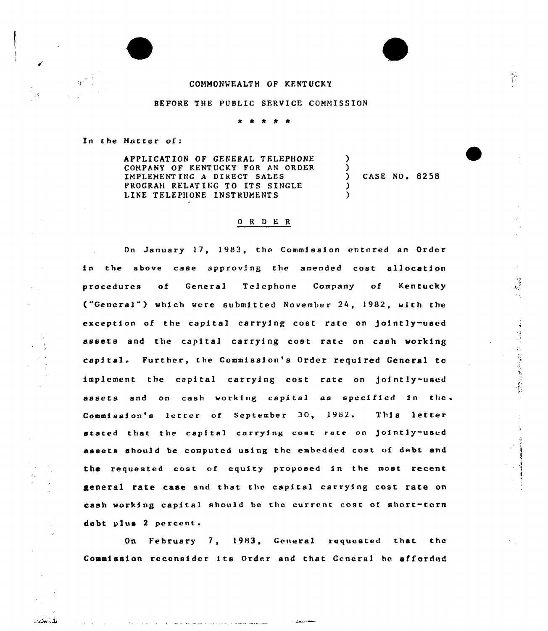## COMMONWEALTH OF KENTUCKY

## BEFORE THE PUBLIC SERVICE COMMISSION

In the Hatter of:

.<br>تارىخىيىتى :

APPLICAT ION OF GENERAL TELEPHONE COMPANY OF KENTUCKY FOR AN ORDER IMPLEMENT ING A DIRECT SALES PROGRAM RELATING TO ITS SINGLE LINE TELEPHONE INSTRUMENTS ) ) ) CASE NO. 8258 ) )

## 0 R <sup>U</sup> E R

On January 17, 1983, the Commission entered an Order in the above case approving the amended cost allocation procedures of General Telephone Company of Kentucky ("General") which were submitted November 24, 1982, with the exception of the capital carrying cost rate on jointly-used assets and the capital carrying cost rate on cash working cepktal. Further, the Commissfon's Order required General to implement the capital carrying cost rate on jointly-used assets and on cash working capital as specified in the. Commission's letter of September 30, 1982. This letter stated that the capital corrying cost rate on jointly-used assets should be computed using the embedded cost of debt and the requested cost of equity proposed in the most recent general rate case and that the capital carrying cost rate on cash working capital should be the current cost of short-term debt plus <sup>2</sup> percent.

"重建行"的 的过去式与过去分词

On February 7, 1983, General requested that the Commission reconsider fts Order and that General he afforded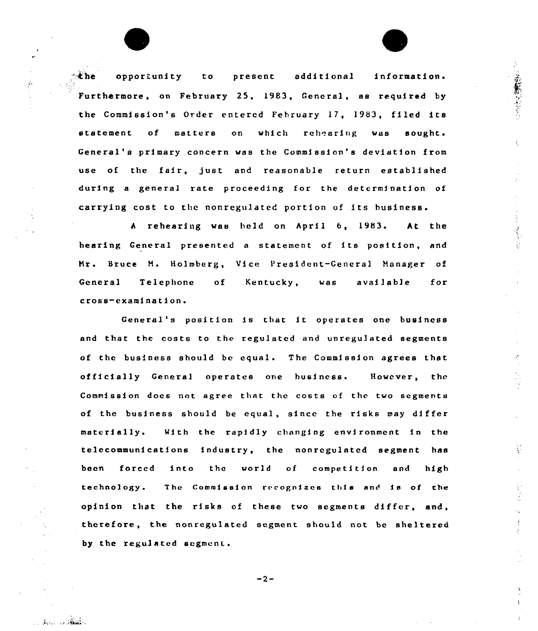$\mathbb{R}$ the opportunity to present additional information. Furthermore, on February 25, 1983, General, as required by the Commission's Order entered February 17, 1953, filed its statement of matters on which rehearing was sought. General's primary concern was the Commission's deviation from use of the fair, just and reasonable return established during a general rate proceeding for the determination of carrying cost to the nonregulatcd portion of its business.

1. ののおものをある

<sup>A</sup> rehearing was held on April 6, 1983. At the hearing General presented a statement of its position, and Mr. Bruce M. Holmberg, Vice President-General Manager of General Telephone cross-examination. of Kentucky, was available for

General's position is that it operates one business and that the costs to the regulated and unregulated segments of the business should be equal. The Commission agrees that officially General operates one business. However, the Commission docs not agree that the costs of the two segments of the business should be equal, since the risks may differ materially. With the rapidly changing environment in the telecommunications industry, the nonrcgulated segment has been forced into the world of competition and high technology. The Commission recognizes this and is of the opinion that the risks of these two segments differ, and, therefore, the nonregulated segment should not bc sheltered by the regulated segment.

 $-2-$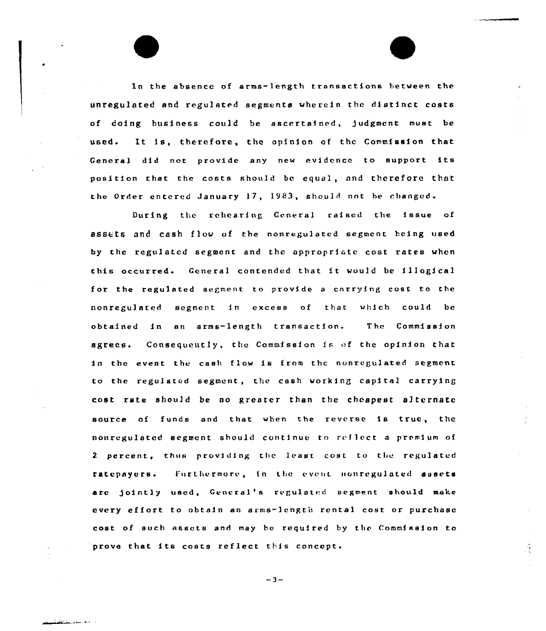In the absence of arms-length transactions between the unregulated and regulated segments wherein the distinct costs of doing business could be ascertained, judgment must be used. It is, therefore, the opinion of the Commission that General did not provide any new evidence to support its position that the costs should be equal, and therefore that the Order entered January 17, 1983, should not be changed.

During the rehearing General raised the issue of assets and cash flow of the nonregulated segment being used by the regulated segment and the appropriate cost rates when this occurred. General contended that it would be illogical for the regulated segment to provide <sup>a</sup> carrying cost to the nonregulated segment in excess of that which could be obtained in an arms-length transaction. The Commission agrees. Consequently, the Commission is of the opinion that in the event the cash flow is from the nonregulated segment to the regulated segment, the cash working capital carrying cost rate should be no greater than the cheapest alternate source of funds and that when the reverse is true, the nonregulated segment should continue to reflect a premium of 2 percent, thus providing the least cost to the regulated ratepayors. Furthermore, in the event nonregulated asset are jointly used, General's regulated segment should make every effort to obtain an arms-length rental cost or purchase cost of such assets and may be required by the Commission to prove that its costs reflect this concept.

 $-3-$